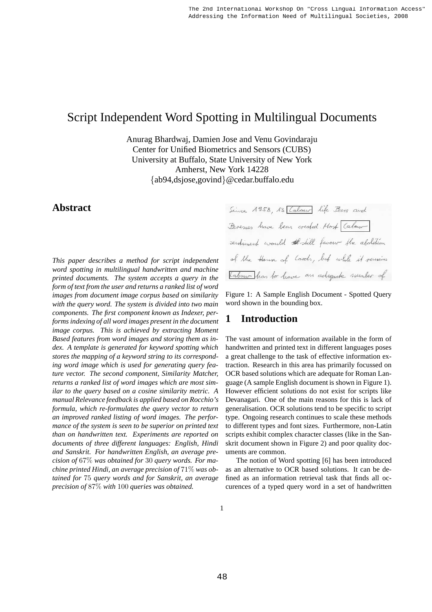# Script Independent Word Spotting in Multilingual Documents

Anurag Bhardwaj, Damien Jose and Venu Govindaraju Center for Unified Biometrics and Sensors (CUBS) University at Buffalo, State University of New York Amherst, New York 14228 {ab94,dsjose,govind}@cedar.buffalo.edu

# **Abstract**

*This paper describes a method for script independent word spotting in multilingual handwritten and machine printed documents. The system accepts a query in the form of text from the user and returns a ranked list of word images from document image corpus based on similarity with the query word. The system is divided into two main components. The first component known as Indexer, performs indexing of all word images present in the document image corpus. This is achieved by extracting Moment Based features from word images and storing them as index. A template is generated for keyword spotting which stores the mapping of a keyword string to its corresponding word image which is used for generating query feature vector. The second component, Similarity Matcher, returns a ranked list of word images which are most similar to the query based on a cosine similarity metric. A manual Relevance feedback is applied based on Rocchio's formula, which re-formulates the query vector to return an improved ranked listing of word images. The performance of the system is seen to be superior on printed text than on handwritten text. Experiments are reported on documents of three different languages: English, Hindi and Sanskrit. For handwritten English, an average precision of* 67% *was obtained for* 30 *query words. For machine printed Hindi, an average precision of* 71% *was obtained for* 75 *query words and for Sanskrit, an average precision of* 87% *with* 100 *queries was obtained.*

Since 1958, 13 [Cabour life Peers and Peresses have been created. Most Cabour sentiment would # still favour the abolition of the House of Cords, but while it remains Tabour has to have an adequate number of

Figure 1: A Sample English Document - Spotted Query word shown in the bounding box.

# **1 Introduction**

The vast amount of information available in the form of handwritten and printed text in different languages poses a great challenge to the task of effective information extraction. Research in this area has primarily focussed on OCR based solutions which are adequate for Roman Language (A sample English document is shown in Figure 1). However efficient solutions do not exist for scripts like Devanagari. One of the main reasons for this is lack of generalisation. OCR solutions tend to be specific to script type. Ongoing research continues to scale these methods to different types and font sizes. Furthermore, non-Latin scripts exhibit complex character classes (like in the Sanskrit document shown in Figure 2) and poor quality documents are common.

The notion of Word spotting [6] has been introduced as an alternative to OCR based solutions. It can be defined as an information retrieval task that finds all occurences of a typed query word in a set of handwritten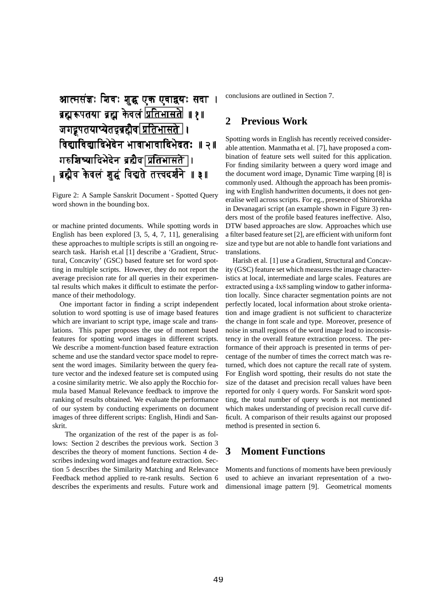# आत्मसंज्ञः शिवः शुद्ध एक एवाद्वयः सदा । ब्रह्मरूपतया ब्रह्म केवलं प्रतिभासते ॥ १ ॥ जगद्रूपतयाप्येतद्वद्गद्गैव <u>प्रतिभासते</u> । विद्याविद्यादिभेदेन भावाभावादिभेदतः ॥ २॥ गरुशिष्यादिभेदेन ब्रह्मैद|प्रतिभासते |। , ब्रह्मैव केवलं शुद्धं विद्यते तत्त्वदर्शने ॥ ३॥

Figure 2: A Sample Sanskrit Document - Spotted Query word shown in the bounding box.

or machine printed documents. While spotting words in English has been explored [3, 5, 4, 7, 11], generalising these approaches to multiple scripts is still an ongoing research task. Harish et.al [1] describe a 'Gradient, Structural, Concavity' (GSC) based feature set for word spotting in multiple scripts. However, they do not report the average precision rate for all queries in their experimental results which makes it difficult to estimate the performance of their methodology.

One important factor in finding a script independent solution to word spotting is use of image based features which are invariant to script type, image scale and translations. This paper proposes the use of moment based features for spotting word images in different scripts. We describe a moment-function based feature extraction scheme and use the standard vector space model to represent the word images. Similarity between the query feature vector and the indexed feature set is computed using a cosine similarity metric. We also apply the Rocchio formula based Manual Relevance feedback to improve the ranking of results obtained. We evaluate the performance of our system by conducting experiments on document images of three different scripts: English, Hindi and Sanskrit.

The organization of the rest of the paper is as follows: Section 2 describes the previous work. Section 3 describes the theory of moment functions. Section 4 describes indexing word images and feature extraction. Section 5 describes the Similarity Matching and Relevance Feedback method applied to re-rank results. Section 6 describes the experiments and results. Future work and conclusions are outlined in Section 7.

## **2 Previous Work**

Spotting words in English has recently received considerable attention. Manmatha et al. [7], have proposed a combination of feature sets well suited for this application. For finding similarity between a query word image and the document word image, Dynamic Time warping [8] is commonly used. Although the approach has been promising with English handwritten documents, it does not generalise well across scripts. For eg., presence of Shirorekha in Devanagari script (an example shown in Figure 3) renders most of the profile based features ineffective. Also, DTW based approaches are slow. Approaches which use a filter based feature set [2], are efficient with uniform font size and type but are not able to handle font variations and translations.

Harish et al. [1] use a Gradient, Structural and Concavity (GSC) feature set which measures the image characteristics at local, intermediate and large scales. Features are extracted using a 4x8 sampling window to gather information locally. Since character segmentation points are not perfectly located, local information about stroke orientation and image gradient is not sufficient to characterize the change in font scale and type. Moreover, presence of noise in small regions of the word image lead to inconsistency in the overall feature extraction process. The performance of their approach is presented in terms of percentage of the number of times the correct match was returned, which does not capture the recall rate of system. For English word spotting, their results do not state the size of the dataset and precision recall values have been reported for only 4 query words. For Sanskrit word spotting, the total number of query words is not mentioned which makes understanding of precision recall curve difficult. A comparison of their results against our proposed method is presented in section 6.

# **3 Moment Functions**

Moments and functions of moments have been previously used to achieve an invariant representation of a twodimensional image pattern [9]. Geometrical moments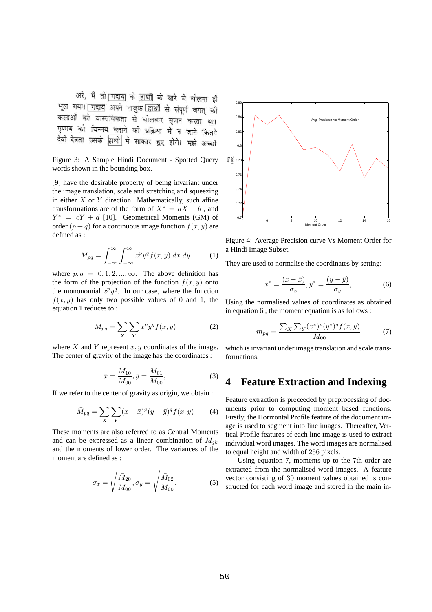अरे, मै तो गदाय के हाथों के बारे में बोलना ही भूल गया। गदाय अपने नाजुक हाथों से संपूर्ण जगत की ्<br>कलाओं को वास्तविकता से घोलकर सृजन करता था। मृण्मय को चिन्मय बनाने की प्रक्रिया में न जाने कितने देवी-देवता उसके हाथों में साकार हुए होंगे। मुझे अच्छी

Figure 3: A Sample Hindi Document - Spotted Query words shown in the bounding box.

[9] have the desirable property of being invariant under the image translation, scale and stretching and squeezing in either  $X$  or  $Y$  direction. Mathematically, such affine transformations are of the form of  $X^* = aX + b$ , and  $Y^* = cY + d$  [10]. Geometrical Moments (GM) of order  $(p+q)$  for a continuous image function  $f(x, y)$  are defined as :

$$
M_{pq} = \int_{-\infty}^{\infty} \int_{-\infty}^{\infty} x^p y^q f(x, y) \, dx \, dy \tag{1}
$$

where  $p, q = 0, 1, 2, ..., \infty$ . The above definition has the form of the projection of the function  $f(x, y)$  onto the mononomial  $x^p y^q$ . In our case, where the function  $f(x, y)$  has only two possible values of 0 and 1, the equation 1 reduces to :

$$
M_{pq} = \sum_{X} \sum_{Y} x^p y^q f(x, y) \tag{2}
$$

where X and Y represent  $x, y$  coordinates of the image. The center of gravity of the image has the coordinates :

$$
\bar{x} = \frac{M_{10}}{M_{00}}, \bar{y} = \frac{M_{01}}{M_{00}},
$$
\n(3)

If we refer to the center of gravity as origin, we obtain :

$$
\bar{M}_{pq} = \sum_{X} \sum_{Y} (x - \bar{x})^p (y - \bar{y})^q f(x, y) \tag{4}
$$

These moments are also referred to as Central Moments and can be expressed as a linear combination of  $M_{jk}$ and the moments of lower order. The variances of the moment are defined as :

$$
\sigma_x = \sqrt{\frac{\bar{M}_{20}}{M_{00}}}, \sigma_y = \sqrt{\frac{\bar{M}_{02}}{M_{00}}},
$$
\n(5)



Figure 4: Average Precision curve Vs Moment Order for a Hindi Image Subset.

They are used to normalise the coordinates by setting:

$$
x^* = \frac{(x - \bar{x})}{\sigma_x}, y^* = \frac{(y - \bar{y})}{\sigma_y},
$$
 (6)

Using the normalised values of coordinates as obtained in equation 6 , the moment equation is as follows :

$$
m_{pq} = \frac{\sum_{X} \sum_{Y} (x^*)^p (y^*)^q f(x, y)}{M_{00}} \tag{7}
$$

which is invariant under image translation and scale transformations.

### **4 Feature Extraction and Indexing**

Feature extraction is preceeded by preprocessing of documents prior to computing moment based functions. Firstly, the Horizontal Profile feature of the document image is used to segment into line images. Thereafter, Vertical Profile features of each line image is used to extract individual word images. The word images are normalised to equal height and width of 256 pixels.

Using equation 7, moments up to the 7th order are extracted from the normalised word images. A feature vector consisting of 30 moment values obtained is constructed for each word image and stored in the main in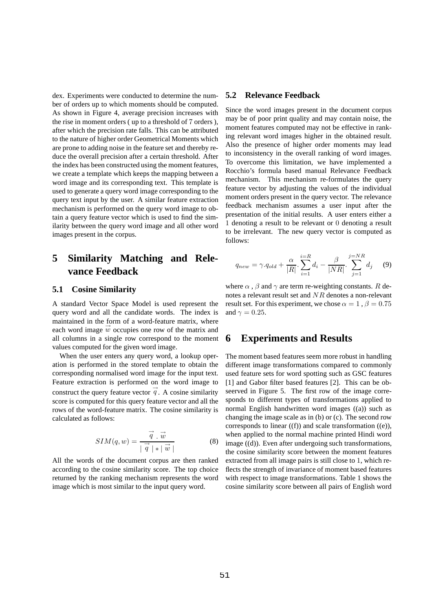dex. Experiments were conducted to determine the number of orders up to which moments should be computed. As shown in Figure 4, average precision increases with the rise in moment orders ( up to a threshold of 7 orders ), after which the precision rate falls. This can be attributed to the nature of higher order Geometrical Moments which are prone to adding noise in the feature set and thereby reduce the overall precision after a certain threshold. After the index has been constructed using the moment features, we create a template which keeps the mapping between a word image and its corresponding text. This template is used to generate a query word image corresponding to the query text input by the user. A similar feature extraction mechanism is performed on the query word image to obtain a query feature vector which is used to find the similarity between the query word image and all other word images present in the corpus.

# **5 Similarity Matching and Relevance Feedback**

#### **5.1 Cosine Similarity**

A standard Vector Space Model is used represent the query word and all the candidate words. The index is maintained in the form of a word-feature matrix, where each word image  $\vec{w}$  occupies one row of the matrix and all columns in a single row correspond to the moment values computed for the given word image.

When the user enters any query word, a lookup operation is performed in the stored template to obtain the corresponding normalised word image for the input text. Feature extraction is performed on the word image to construct the query feature vector  $q'$ . A cosine similarity score is computed for this query feature vector and all the rows of the word-feature matrix. The cosine similarity is calculated as follows:

$$
SIM(q, w) = \frac{\vec{q} \cdot \vec{w}}{|\vec{q}| * |\vec{w}|}
$$
(8)

All the words of the document corpus are then ranked according to the cosine similarity score. The top choice returned by the ranking mechanism represents the word image which is most similar to the input query word.

#### **5.2 Relevance Feedback**

Since the word images present in the document corpus may be of poor print quality and may contain noise, the moment features computed may not be effective in ranking relevant word images higher in the obtained result. Also the presence of higher order moments may lead to inconsistency in the overall ranking of word images. To overcome this limitation, we have implemented a Rocchio's formula based manual Relevance Feedback mechanism. This mechanism re-formulates the query feature vector by adjusting the values of the individual moment orders present in the query vector. The relevance feedback mechanism assumes a user input after the presentation of the initial results. A user enters either a 1 denoting a result to be relevant or 0 denoting a result to be irrelevant. The new query vector is computed as follows:

$$
q_{new} = \gamma.q_{old} + \frac{\alpha}{|R|} \cdot \sum_{i=1}^{i=R} d_i - \frac{\beta}{|NR|} \cdot \sum_{j=1}^{j=NR} d_j \quad (9)
$$

where  $\alpha$ ,  $\beta$  and  $\gamma$  are term re-weighting constants. R denotes a relevant result set and NR denotes a non-relevant result set. For this experiment, we chose  $\alpha = 1$ ,  $\beta = 0.75$ and  $\gamma = 0.25$ .

#### **6 Experiments and Results**

The moment based features seem more robust in handling different image transformations compared to commonly used feature sets for word spotting such as GSC features [1] and Gabor filter based features [2]. This can be obseerved in Figure 5. The first row of the image corresponds to different types of transformations applied to normal English handwritten word images ((a)) such as changing the image scale as in (b) or (c). The second row corresponds to linear ((f)) and scale transformation ((e)), when applied to the normal machine printed Hindi word image ((d)). Even after undergoing such transformations, the cosine similarity score between the moment features extracted from all image pairs is still close to 1, which reflects the strength of invariance of moment based features with respect to image transformations. Table 1 shows the cosine similarity score between all pairs of English word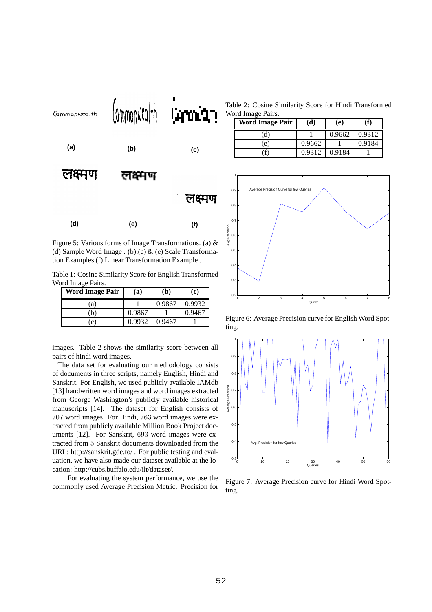

Figure 5: Various forms of Image Transformations. (a) & (d) Sample Word Image . (b),  $(c)$  & (e) Scale Transformation Examples (f) Linear Transformation Example .

Table 1: Cosine Similarity Score for English Transformed Word Image Pairs.

| Word Image Pair   | (a)    | $\mathbf{b}$ | (c)    |
|-------------------|--------|--------------|--------|
| a)                |        | 0.9867       | 0.9932 |
| b)                | 0.9867 |              | 0.9467 |
| $\left( 0\right)$ | 0.9932 | 0.9467       |        |

images. Table 2 shows the similarity score between all pairs of hindi word images.

The data set for evaluating our methodology consists of documents in three scripts, namely English, Hindi and Sanskrit. For English, we used publicly available IAMdb [13] handwritten word images and word images extracted from George Washington's publicly available historical manuscripts [14]. The dataset for English consists of 707 word images. For Hindi, 763 word images were extracted from publicly available Million Book Project documents [12]. For Sanskrit, 693 word images were extracted from 5 Sanskrit documents downloaded from the URL: http://sanskrit.gde.to/ . For public testing and evaluation, we have also made our dataset available at the location: http://cubs.buffalo.edu/ilt/dataset/.

For evaluating the system performance, we use the commonly used Average Precision Metric. Precision for

Table 2: Cosine Similarity Score for Hindi Transformed Word Image Pairs.

| Word Image Pair | (d)    | (e)    |        |
|-----------------|--------|--------|--------|
| (ď              |        | 0.9662 | 0.9312 |
| (e)             | 0.9662 |        | 0.9184 |
|                 | 0.9312 | 0.9184 |        |



Figure 6: Average Precision curve for English Word Spotting.



Figure 7: Average Precision curve for Hindi Word Spotting.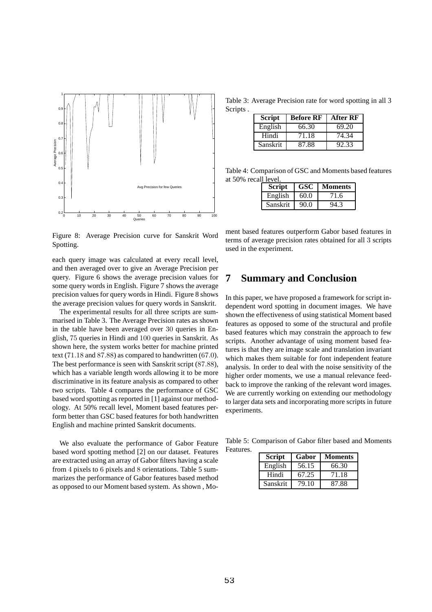

Figure 8: Average Precision curve for Sanskrit Word Spotting.

each query image was calculated at every recall level, and then averaged over to give an Average Precision per query. Figure 6 shows the average precision values for some query words in English. Figure 7 shows the average precision values for query words in Hindi. Figure 8 shows the average precision values for query words in Sanskrit.

The experimental results for all three scripts are summarised in Table 3. The Average Precision rates as shown in the table have been averaged over 30 queries in English, 75 queries in Hindi and 100 queries in Sanskrit. As shown here, the system works better for machine printed text (71.18 and 87.88) as compared to handwritten (67.0). The best performance is seen with Sanskrit script (87.88), which has a variable length words allowing it to be more discriminative in its feature analysis as compared to other two scripts. Table 4 compares the performance of GSC based word spotting as reported in [1] against our methodology. At 50% recall level, Moment based features perform better than GSC based features for both handwritten English and machine printed Sanskrit documents.

We also evaluate the performance of Gabor Feature based word spotting method [2] on our dataset. Features are extracted using an array of Gabor filters having a scale from 4 pixels to 6 pixels and 8 orientations. Table 5 summarizes the performance of Gabor features based method as opposed to our Moment based system. As shown , Mo-

Table 3: Average Precision rate for word spotting in all 3 Scripts .

| <b>Script</b> | <b>Before RF</b> | <b>After RF</b> |
|---------------|------------------|-----------------|
| English       | 66.30            | 69.20           |
| Hindi         | 71.18            | 74.34           |
| Sanskrit      | 87.88            | 92.33           |

Table 4: Comparison of GSC and Moments based features at 50% recall level.

| <b>Script</b> | GSC  | Moments |
|---------------|------|---------|
| English       | 60.0 | 71.6    |
| Sanskrit      | 90.0 | OЛ      |

ment based features outperform Gabor based features in terms of average precision rates obtained for all 3 scripts used in the experiment.

# **7 Summary and Conclusion**

In this paper, we have proposed a framework for script independent word spotting in document images. We have shown the effectiveness of using statistical Moment based features as opposed to some of the structural and profile based features which may constrain the approach to few scripts. Another advantage of using moment based features is that they are image scale and translation invariant which makes them suitable for font independent feature analysis. In order to deal with the noise sensitivity of the higher order moments, we use a manual relevance feedback to improve the ranking of the relevant word images. We are currently working on extending our methodology to larger data sets and incorporating more scripts in future experiments.

Table 5: Comparison of Gabor filter based and Moments Features.

| <b>Script</b> | Gabor | <b>Moments</b> |
|---------------|-------|----------------|
| English       | 56.15 | 66.30          |
| Hindi         | 67.25 | 71.18          |
| Sanskrit      | 79.10 | 87.88          |